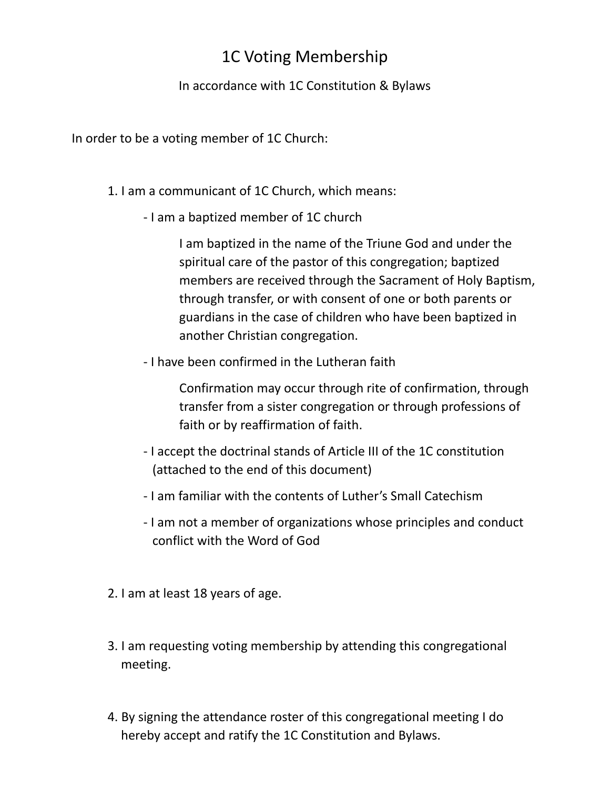# 1C Voting Membership

## In accordance with 1C Constitution & Bylaws

In order to be a voting member of 1C Church:

## 1. I am a communicant of 1C Church, which means:

- I am a baptized member of 1C church

I am baptized in the name of the Triune God and under the spiritual care of the pastor of this congregation; baptized members are received through the Sacrament of Holy Baptism, through transfer, or with consent of one or both parents or guardians in the case of children who have been baptized in another Christian congregation.

- I have been confirmed in the Lutheran faith

Confirmation may occur through rite of confirmation, through transfer from a sister congregation or through professions of faith or by reaffirmation of faith.

- I accept the doctrinal stands of Article III of the 1C constitution (attached to the end of this document)
- I am familiar with the contents of Luther's Small Catechism
- I am not a member of organizations whose principles and conduct conflict with the Word of God
- 2. I am at least 18 years of age.
- 3. I am requesting voting membership by attending this congregational meeting.
- 4. By signing the attendance roster of this congregational meeting I do hereby accept and ratify the 1C Constitution and Bylaws.